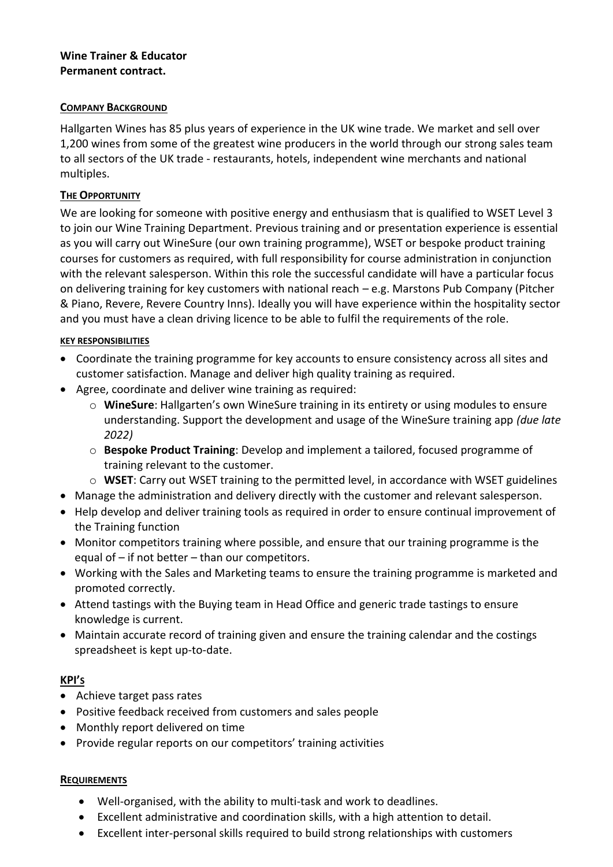# **Wine Trainer & Educator Permanent contract.**

#### **COMPANY BACKGROUND**

Hallgarten Wines has 85 plus years of experience in the UK wine trade. We market and sell over 1,200 wines from some of the greatest wine producers in the world through our strong sales team to all sectors of the UK trade - restaurants, hotels, independent wine merchants and national multiples.

# **THE OPPORTUNITY**

We are looking for someone with positive energy and enthusiasm that is qualified to WSET Level 3 to join our Wine Training Department. Previous training and or presentation experience is essential as you will carry out WineSure (our own training programme), WSET or bespoke product training courses for customers as required, with full responsibility for course administration in conjunction with the relevant salesperson. Within this role the successful candidate will have a particular focus on delivering training for key customers with national reach – e.g. Marstons Pub Company (Pitcher & Piano, Revere, Revere Country Inns). Ideally you will have experience within the hospitality sector and you must have a clean driving licence to be able to fulfil the requirements of the role.

### **KEY RESPONSIBILITIES**

- Coordinate the training programme for key accounts to ensure consistency across all sites and customer satisfaction. Manage and deliver high quality training as required.
- Agree, coordinate and deliver wine training as required:
	- o **WineSure**: Hallgarten's own WineSure training in its entirety or using modules to ensure understanding. Support the development and usage of the WineSure training app *(due late 2022)*
	- o **Bespoke Product Training**: Develop and implement a tailored, focused programme of training relevant to the customer.
	- o **WSET**: Carry out WSET training to the permitted level, in accordance with WSET guidelines
- Manage the administration and delivery directly with the customer and relevant salesperson.
- Help develop and deliver training tools as required in order to ensure continual improvement of the Training function
- Monitor competitors training where possible, and ensure that our training programme is the equal of  $-$  if not better  $-$  than our competitors.
- Working with the Sales and Marketing teams to ensure the training programme is marketed and promoted correctly.
- Attend tastings with the Buying team in Head Office and generic trade tastings to ensure knowledge is current.
- Maintain accurate record of training given and ensure the training calendar and the costings spreadsheet is kept up-to-date.

# **KPI'S**

- Achieve target pass rates
- Positive feedback received from customers and sales people
- Monthly report delivered on time
- Provide regular reports on our competitors' training activities

#### **REQUIREMENTS**

- Well-organised, with the ability to multi-task and work to deadlines.
- Excellent administrative and coordination skills, with a high attention to detail.
- Excellent inter-personal skills required to build strong relationships with customers